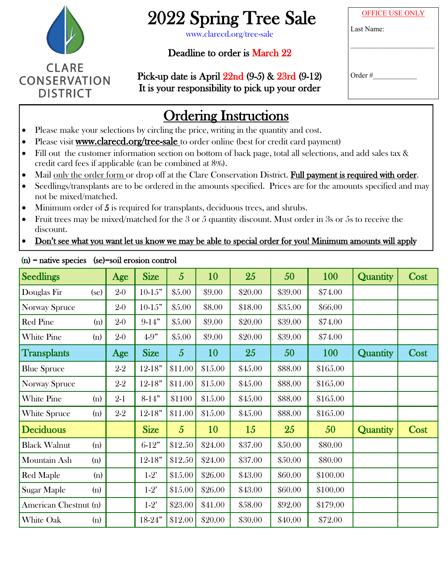

# 2022 Spring Tree Sale

www.clarecd.org/tree-sale

### Deadline to order is March 22

OFFICE USE ONLY Last Name:

 $\mathcal{L}_\text{max}$ 

Order #\_\_\_\_\_\_\_\_\_\_\_\_

Pick-up date is April 22nd (9-5) & 23rd (9-12) It is your responsibility to pick up your order

| CK-UD QATE IS ADIII 22NQ (Y-3) & 23NQ (Y-12) |  |
|----------------------------------------------|--|
| is your responsibility to pick up your order |  |
|                                              |  |

# Ordering Instructions

- Please make your selections by circling the price, writing in the quantity and cost.
- Please visit www.clarecd.org/tree-sale to order online (best for credit card payment)
- Fill out the customer information section on bottom of back page, total all selections, and add sales tax & credit card fees if applicable (can be combined at 8%).
- Mail only the order form or drop off at the Clare Conservation District. Full payment is required with order.
- Seedlings/transplants are to be ordered in the amounts specified. Prices are for the amounts specified and may not be mixed/matched.
- Minimum order of 5 is required for transplants, deciduous trees, and shrubs.
- Fruit trees may be mixed/matched for the  $3$  or  $5$  quantity discount. Must order in  $3s$  or  $5s$  to receive the discount.

### • Don't see what you want let us know we may be able to special order for you! Minimum amounts will apply

| <b>Seedlings</b>      |      | Age     | <b>Size</b> | $\overline{5}$ | 10      | 25      | 50      | 100      | <b>Quantity</b> | Cost |
|-----------------------|------|---------|-------------|----------------|---------|---------|---------|----------|-----------------|------|
| Douglas Fir           | (se) | $2-0$   | $10-15"$    | \$5.00         | \$9.00  | \$20.00 | \$39.00 | \$74.00  |                 |      |
| <b>Norway Spruce</b>  |      | $2 - 0$ | $10-15"$    | \$5.00         | \$8.00  | \$18.00 | \$35.00 | \$66.00  |                 |      |
| <b>Red Pine</b>       | (n)  | $2 - 0$ | $9-14"$     | \$5.00         | \$9.00  | \$20.00 | \$39.00 | \$74.00  |                 |      |
| White Pine            | (n)  | $2-0$   | $4 - 9"$    | \$5.00         | \$9.00  | \$20.00 | \$39.00 | \$74.00  |                 |      |
| <b>Transplants</b>    |      | Age     | <b>Size</b> | $\overline{5}$ | 10      | 25      | 50      | 100      | Quantity        | Cost |
| <b>Blue Spruce</b>    |      | $2-2$   | $12 - 18"$  | \$11.00        | \$15.00 | \$45.00 | \$88.00 | \$165.00 |                 |      |
| <b>Norway Spruce</b>  |      | $2-2$   | $12 - 18"$  | \$11.00        | \$15.00 | \$45.00 | \$88.00 | \$165.00 |                 |      |
| <b>White Pine</b>     | (n)  | $2-1$   | $8-14"$     | \$1100         | \$15.00 | \$45.00 | \$88.00 | \$165.00 |                 |      |
| White Spruce          | (n)  | $2 - 2$ | $12 - 18"$  | \$11.00        | \$15.00 | \$45.00 | \$88.00 | \$165.00 |                 |      |
| <b>Deciduous</b>      |      |         | <b>Size</b> | $\overline{5}$ | 10      | 15      | 25      | 50       | <b>Quantity</b> | Cost |
| <b>Black Walnut</b>   | (n)  |         | $6-12"$     | \$12.50        | \$24.00 | \$37.00 | \$50.00 | \$80.00  |                 |      |
| Mountain Ash          | (n)  |         | $12 - 18"$  | \$12.50        | \$24.00 | \$37.00 | \$50.00 | \$80.00  |                 |      |
| <b>Red Maple</b>      | (n)  |         | $1-2'$      | \$15.00        | \$26.00 | \$43.00 | \$60.00 | \$100.00 |                 |      |
| Sugar Maple           | (n)  |         | $1-2'$      | \$15.00        | \$26.00 | \$43.00 | \$60.00 | \$100.00 |                 |      |
| American Chestnut (n) |      |         | $1-2'$      | \$23.00        | \$41.00 | \$58.00 | \$92.00 | \$179.00 |                 |      |
| White Oak             | (n)  |         | $18 - 24"$  | \$12.00        | \$20.00 | \$30.00 | \$40.00 | \$72.00  |                 |      |

(n) = native species (se)=soil erosion control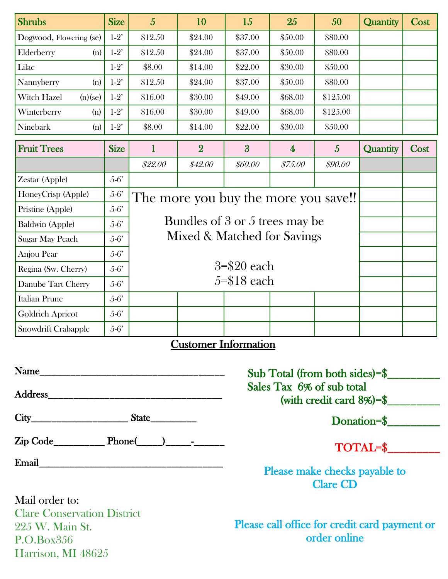| <b>Shrubs</b>                                                   | <b>Size</b> | $\overline{5}$                       | 10             | 15             | 25             | 50             | Quantity | Cost |
|-----------------------------------------------------------------|-------------|--------------------------------------|----------------|----------------|----------------|----------------|----------|------|
| Dogwood, Flowering (se)                                         | $1-2'$      | \$12.50                              | \$24.00        | \$37.00        | \$50.00        | \$80.00        |          |      |
| Elderberry<br>(n)                                               | $1-2'$      | \$12.50                              | \$24.00        | \$37.00        | \$50.00        | \$80.00        |          |      |
| Lilac                                                           | $1-2'$      | \$8.00                               | \$14.00        | \$22.00        | \$30.00        | \$50.00        |          |      |
| Nannyberry<br>(n)                                               | $1-2'$      | \$12.50                              | \$24.00        | \$37.00        | \$50.00        | \$80.00        |          |      |
| Witch Hazel<br>(n)(se)                                          | $1-2'$      | \$16.00                              | \$30.00        | \$49.00        | \$68.00        | \$125.00       |          |      |
| Winterberry<br>(n)                                              | $1-2'$      | \$16.00                              | \$30.00        | \$49.00        | \$68.00        | \$125.00       |          |      |
| Ninebark<br>(n)                                                 | $1-2'$      | \$8.00                               | \$14.00        | \$22.00        | \$30.00        | \$50.00        |          |      |
| <b>Fruit Trees</b>                                              | <b>Size</b> | 1                                    | $\overline{2}$ | $\overline{3}$ | $\overline{4}$ | $\overline{5}$ | Quantity | Cost |
|                                                                 |             | \$22.00                              | \$42.00        | \$60.00        | \$75.00        | \$90.00        |          |      |
| Zestar (Apple)                                                  | $5-6'$      |                                      |                |                |                |                |          |      |
| HoneyCrisp (Apple)<br>$5-6'$                                    |             | The more you buy the more you save!! |                |                |                |                |          |      |
| Pristine (Apple)                                                | $5-6'$      |                                      |                |                |                |                |          |      |
| Baldwin (Apple)                                                 | $5-6'$      | Bundles of 3 or 5 trees may be       |                |                |                |                |          |      |
| Mixed & Matched for Savings<br>$5-6'$<br><b>Sugar May Peach</b> |             |                                      |                |                |                |                |          |      |
| Anjou Pear                                                      | $5-6'$      |                                      |                |                |                |                |          |      |
| Regina (Sw. Cherry)                                             | $5-6'$      |                                      |                |                |                |                |          |      |
| Danube Tart Cherry                                              | $5-6'$      |                                      |                |                |                |                |          |      |
| <b>Italian Prune</b>                                            | $5-6'$      |                                      |                |                |                |                |          |      |
| <b>Goldrich Apricot</b>                                         | $5-6'$      |                                      |                |                |                |                |          |      |
| Snowdrift Crabapple                                             | $5-6'$      |                                      |                |                |                |                |          |      |

### Customer Information

| Email _______________________ |  |
|-------------------------------|--|

Mail order to: Clare Conservation District 225 W. Main St. P.O.Box356 Harrison, MI 48625

Sub Total (from both sides)=\$\_\_\_\_\_\_\_\_\_ Sales Tax 6% of sub total (with credit card 8%)=\$\_\_\_\_\_\_\_\_\_

Donation=\$

TOTAL=\$

Please make checks payable to Clare CD

Please call office for credit card payment or order online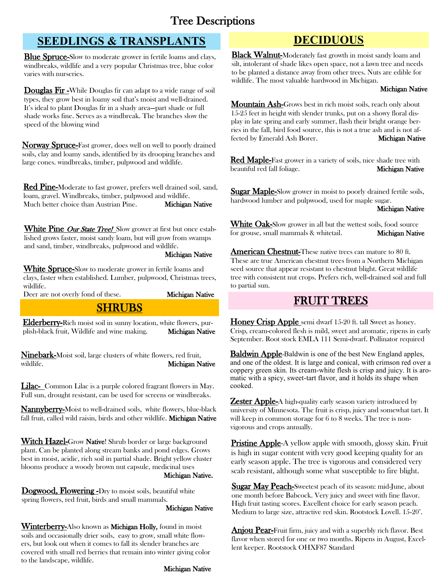### Tree Descriptions

### **SEEDLINGS & TRANSPLANTS DECIDUOUS**

Blue Spruce-Slow to moderate grower in fertile loams and clays, windbreaks, wildlife and a very popular Christmas tree, blue color varies with nurseries.

Douglas Fir-While Douglas fir can adapt to a wide range of soil types, they grow best in loamy soil that's moist and well-drained. It's ideal to plant Douglas fir in a shady area—part shade or full shade works fine. Serves as a windbreak. The branches slow the speed of the blowing wind

Norway Spruce-Fast grower, does well on well to poorly drained soils, clay and loamy sands, identified by its drooping branches and large cones. windbreaks, timber, pulpwood and wildlife.

Red Pine-Moderate to fast grower, prefers well drained soil, sand, loam, gravel. Windbreaks, timber, pulpwood and wildlife. Much better choice than Austrian Pine. Michigan Native

White Pine Our State Tree! Slow grower at first but once established grows faster, moist sandy loam, but will grow from swamps and sand, timber, windbreaks, pulpwood and wildlife.

Michigan Native

White Spruce-Slow to moderate grower in fertile loams and clays, faster when established. Lumber, pulpwood, Christmas trees, wildlife.

Deer are not overly fond of these. Michigan Native

### **SHRUBS**

Elderberry-Rich moist soil in sunny location, white flowers, purplish-black fruit, Wildlife and wine making. Michigan Native

Ninebark-Moist soil, large clusters of white flowers, red fruit, wildlife. Michigan Native

Lilac- Common Lilac is a purple colored fragrant flowers in May. Full sun, drought resistant, can be used for screens or windbreaks.

Nannyberry-Moist to well-drained soils, white flowers, blue-black fall fruit, called wild raisin, birds and other wildlife. Michigan Native

Witch Hazel-Grow Native! Shrub border or large background plant. Can be planted along stream banks and pond edges. Grows best in moist, acidic, rich soil in partial shade. Bright yellow cluster blooms produce a woody brown nut capsule, medicinal uses Michigan Native.

Dogwood, Flowering -Dry to moist soils, beautiful white spring flowers, red fruit, birds and small mammals.

Michigan Native

**Winterberry-Also known as Michigan Holly, found in moist** soils and occasionally drier soils, easy to grow, small white flowers, but look out when it comes to fall its slender branches are covered with small red berries that remain into winter giving color to the landscape, wildlife.

Black Walnut-Moderately fast growth in moist sandy loam and silt, intolerant of shade likes open space, not a lawn tree and needs to be planted a distance away from other trees. Nuts are edible for wildlife. The most valuable hardwood in Michigan.

### Michigan Native

Mountain Ash-Grows best in rich moist soils, reach only about 15-25 feet in height with slender trunks, put on a showy floral display in late spring and early summer, flash their bright orange berries in the fall, bird food source, this is not a true ash and is not affected by Emerald Ash Borer. Michigan Native

**Red Maple-Fast grower in a variety of soils, nice shade tree with** beautiful red fall foliage. Michigan Native

**Sugar Maple-Slow grower in moist to poorly drained fertile soils,** hardwood lumber and pulpwood, used for maple sugar.

Michigan Native

White Oak-Slow grower in all but the wettest soils, food source for grouse, small mammals & whitetail. Michigan Native

American Chestnut-These native trees can mature to 80 ft. These are true American chestnut trees from a Northern Michigan seed source that appear resistant to chestnut blight. Great wildlife tree with consistent nut crops. Prefers rich, well-drained soil and full to partial sun.

### FRUIT TREES

Honey Crisp Apple semi dwarf 15-20 ft. tall Sweet as honey. Crisp, cream-colored flesh is mild, sweet and aromatic, ripens in early September. Root stock EMLA 111 Semi-dwarf. Pollinator required

Baldwin Apple-Baldwin is one of the best New England apples, and one of the oldest. It is large and conical, with crimson red over a coppery green skin. Its cream-white flesh is crisp and juicy. It is aromatic with a spicy, sweet-tart flavor, and it holds its shape when cooked.

**Zester Apple-A** high-quality early season variety introduced by university of Minnesota. The fruit is crisp, juicy and somewhat tart. It will keep in common storage for 6 to 8 weeks. The tree is nonvigorous and crops annually.

**Pristine Apple-A** yellow apple with smooth, glossy skin. Fruit is high in sugar content with very good keeping quality for an early season apple. The tree is vigorous and considered very scab resistant, although some what susceptible to fire blight.

Sugar May Peach-Sweetest peach of its season: mid-June, about one month before Babcock. Very juicy and sweet with fine flavor. High fruit tasting scores. Excellent choice for early season peach. Medium to large size, attractive red skin. Rootstock Lovell. 15-20'.

Anjou Pear-Fruit firm, juicy and with a superbly rich flavor. Best flavor when stored for one or two months. Ripens in August, Excellent keeper. Rootstock OHXF87 Standard

### Michigan Native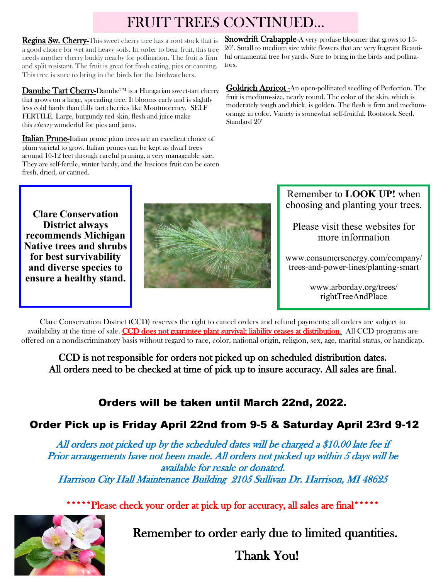## FRUIT TREES CONTINUED...

Regina Sw. Cherry-This sweet cherry tree has a root stock that is a good choice for wet and heavy soils. In order to bear fruit, this tree needs another cherry buddy nearby for pollination. The fruit is firm and split resistant. The fruit is great for fresh eating, pies or canning. This tree is sure to bring in the birds for the birdwatchers.

Danube Tart Cherry-Danube<sup>™</sup> is a Hungarian sweet-tart cherry that grows on a large, spreading tree. It blooms early and is slightly less cold hardy than fully tart cherries like Montmorency. SELF FERTILE. Large, burgundy red skin, flesh and juice make this cherry wonderful for pies and jams.

Italian Prune-Italian prune plum trees are an excellent choice of plum varietal to grow. Italian prunes can be kept as dwarf trees around 10-12 feet through careful pruning, a very manageable size. They are self-fertile, winter hardy, and the luscious fruit can be eaten fresh, dried, or canned.

**Snowdrift Crabapple**-A very profuse bloomer that grows to 15-20'. Small to medium size white flowers that are very fragrant Beautiful ornamental tree for yards. Sure to bring in the birds and pollinators.

Goldrich Apricot -An open-pollinated seedling of Perfection. The fruit is medium-size, nearly round. The color of the skin, which is moderately tough and thick, is golden. The flesh is firm and mediumorange in color. Variety is somewhat self-fruitful. Rootstock Seed. Standard 20'

**Clare Conservation District always recommends Michigan Native trees and shrubs for best survivability and diverse species to ensure a healthy stand.**



Remember to **LOOK UP!** when choosing and planting your trees.

Please visit these websites for more information

www.consumersenergy.com/company/ trees-and-power-lines/planting-smart

> www.arborday.org/trees/ rightTreeAndPlace

Clare Conservation District (CCD) reserves the right to cancel orders and refund payments; all orders are subject to availability at the time of sale. CCD does not guarantee plant survival; liability ceases at distribution. All CCD programs are offered on a nondiscriminatory basis without regard to race, color, national origin, religion, sex, age, marital status, or handicap.

CCD is not responsible for orders not picked up on scheduled distribution dates. All orders need to be checked at time of pick up to insure accuracy. All sales are final.

### **Orders will be taken until March 22nd, 2022.**

### **Order Pick up is Friday April 22nd from 9-5 & Saturday April 23rd 9-12**

All orders not picked up by the scheduled dates will be charged a \$10.00 late fee if Prior arrangements have not been made. All orders not picked up within 5 days will be available for resale or donated. Harrison City Hall Maintenance Building 2105 Sullivan Dr. Harrison, MI 48625

\*\*\*\*\*\*Please check your order at pick up for accuracy, all sales are final\*\*\*\*\*



Remember to order early due to limited quantities.

Thank You!